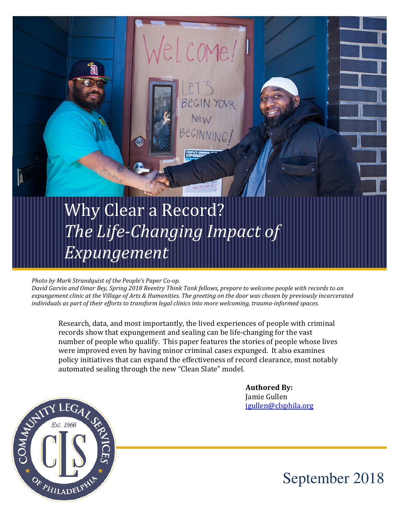# Why Clear a Record? The Life-Changing Impact of Expungement

#### Photo by Mark Strandquist of the People's Paper Co-op.

David Garvin and Omar Bey, Spring 2018 Reentry Think Tank fellows, prepare to welcome people with records to an expungement clinic at the Village of Arts & Humanities. The greeting on the door was chosen by previously incarcerated individuals as part of their efforts to transform legal clinics into more welcoming, trauma-informed spaces.

COMA

Research, data, and most importantly, the lived experiences of people with criminal records show that expungement and sealing can be life-changing for the vast number of people who qualify. This paper features the stories of people whose lives were improved even by having minor criminal cases expunged. It also examines policy initiatives that can expand the effectiveness of record clearance, most notably automated sealing through the new "Clean Slate" model.

 Authored By: jgullen@clsphila.org



September 2018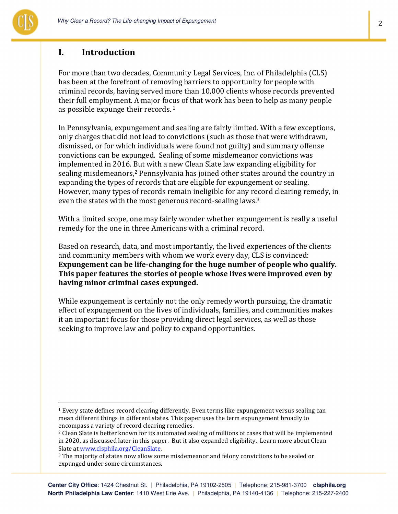

#### I. Introduction

For more than two decades, Community Legal Services, Inc. of Philadelphia (CLS) has been at the forefront of removing barriers to opportunity for people with criminal records, having served more than 10,000 clients whose records prevented their full employment. A major focus of that work has been to help as many people as possible expunge their records.<sup>1</sup>

In Pennsylvania, expungement and sealing are fairly limited. With a few exceptions, only charges that did not lead to convictions (such as those that were withdrawn, dismissed, or for which individuals were found not guilty) and summary offense convictions can be expunged. Sealing of some misdemeanor convictions was implemented in 2016. But with a new Clean Slate law expanding eligibility for sealing misdemeanors,<sup>2</sup> Pennsylvania has joined other states around the country in expanding the types of records that are eligible for expungement or sealing. However, many types of records remain ineligible for any record clearing remedy, in even the states with the most generous record-sealing laws.<sup>3</sup>

With a limited scope, one may fairly wonder whether expungement is really a useful remedy for the one in three Americans with a criminal record.

Based on research, data, and most importantly, the lived experiences of the clients and community members with whom we work every day, CLS is convinced: Expungement can be life-changing for the huge number of people who qualify. This paper features the stories of people whose lives were improved even by having minor criminal cases expunged.

While expungement is certainly not the only remedy worth pursuing, the dramatic effect of expungement on the lives of individuals, families, and communities makes it an important focus for those providing direct legal services, as well as those seeking to improve law and policy to expand opportunities.

2

<sup>&</sup>lt;sup>1</sup> Every state defines record clearing differently. Even terms like expungement versus sealing can mean different things in different states. This paper uses the term expungement broadly to encompass a variety of record clearing remedies.

<sup>&</sup>lt;sup>2</sup> Clean Slate is better known for its automated sealing of millions of cases that will be implemented in 2020, as discussed later in this paper. But it also expanded eligibility. Learn more about Clean Slate at www.clsphila.org/CleanSlate.

<sup>&</sup>lt;sup>3</sup> The majority of states now allow some misdemeanor and felony convictions to be sealed or expunged under some circumstances.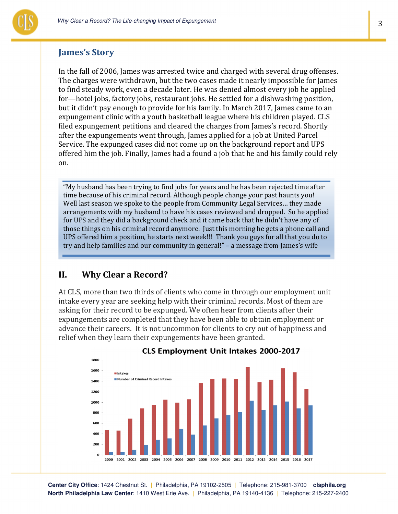

# James's Story

In the fall of 2006, James was arrested twice and charged with several drug offenses. The charges were withdrawn, but the two cases made it nearly impossible for James to find steady work, even a decade later. He was denied almost every job he applied for—hotel jobs, factory jobs, restaurant jobs. He settled for a dishwashing position, but it didn't pay enough to provide for his family. In March 2017, James came to an expungement clinic with a youth basketball league where his children played. CLS filed expungement petitions and cleared the charges from James's record. Shortly after the expungements went through, James applied for a job at United Parcel Service. The expunged cases did not come up on the background report and UPS offered him the job. Finally, James had a found a job that he and his family could rely on.

"My husband has been trying to find jobs for years and he has been rejected time after time because of his criminal record. Although people change your past haunts you! Well last season we spoke to the people from Community Legal Services… they made arrangements with my husband to have his cases reviewed and dropped. So he applied for UPS and they did a background check and it came back that he didn't have any of those things on his criminal record anymore. Just this morning he gets a phone call and UPS offered him a position, he starts next week!!! Thank you guys for all that you do to try and help families and our community in general!" – a message from James's wife

# II. Why Clear a Record?

At CLS, more than two thirds of clients who come in through our employment unit intake every year are seeking help with their criminal records. Most of them are asking for their record to be expunged. We often hear from clients after their expungements are completed that they have been able to obtain employment or advance their careers. It is not uncommon for clients to cry out of happiness and relief when they learn their expungements have been granted.



**CLS Employment Unit Intakes 2000-2017** 

**Center City Office**: 1424 Chestnut St. | Philadelphia, PA 19102-2505 | Telephone: 215-981-3700 **clsphila.org North Philadelphia Law Center**: 1410 West Erie Ave. | Philadelphia, PA 19140-4136 | Telephone: 215-227-2400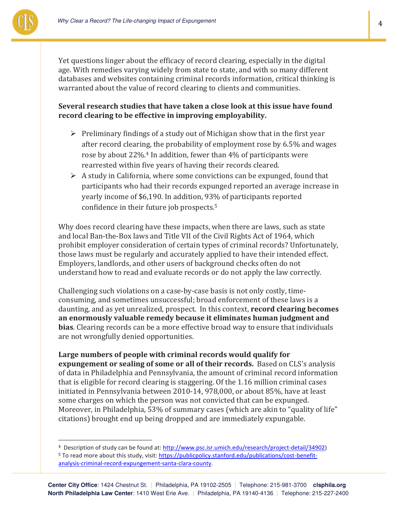

 $\overline{a}$ 

4

Yet questions linger about the efficacy of record clearing, especially in the digital age. With remedies varying widely from state to state, and with so many different databases and websites containing criminal records information, critical thinking is warranted about the value of record clearing to clients and communities.

#### Several research studies that have taken a close look at this issue have found record clearing to be effective in improving employability.

- $\triangleright$  Preliminary findings of a study out of Michigan show that in the first year after record clearing, the probability of employment rose by 6.5% and wages rose by about 22%.4 In addition, fewer than 4% of participants were rearrested within five years of having their records cleared.
- $\triangleright$  A study in California, where some convictions can be expunged, found that participants who had their records expunged reported an average increase in yearly income of \$6,190. In addition, 93% of participants reported confidence in their future job prospects.<sup>5</sup>

Why does record clearing have these impacts, when there are laws, such as state and local Ban-the-Box laws and Title VII of the Civil Rights Act of 1964, which prohibit employer consideration of certain types of criminal records? Unfortunately, those laws must be regularly and accurately applied to have their intended effect. Employers, landlords, and other users of background checks often do not understand how to read and evaluate records or do not apply the law correctly.

Challenging such violations on a case-by-case basis is not only costly, timeconsuming, and sometimes unsuccessful; broad enforcement of these laws is a daunting, and as yet unrealized, prospect. In this context, record clearing becomes an enormously valuable remedy because it eliminates human judgment and bias. Clearing records can be a more effective broad way to ensure that individuals are not wrongfully denied opportunities.

Large numbers of people with criminal records would qualify for expungement or sealing of some or all of their records. Based on CLS's analysis of data in Philadelphia and Pennsylvania, the amount of criminal record information that is eligible for record clearing is staggering. Of the 1.16 million criminal cases initiated in Pennsylvania between 2010-14, 978,000, or about 85%, have at least some charges on which the person was not convicted that can be expunged. Moreover, in Philadelphia, 53% of summary cases (which are akin to "quality of life" citations) brought end up being dropped and are immediately expungable.

<sup>4</sup> Description of study can be found at: http://www.psc.isr.umich.edu/research/project-detail/34902) <sup>5</sup> To read more about this study, visit: https://publicpolicy.stanford.edu/publications/cost-benefitanalysis-criminal-record-expungement-santa-clara-county.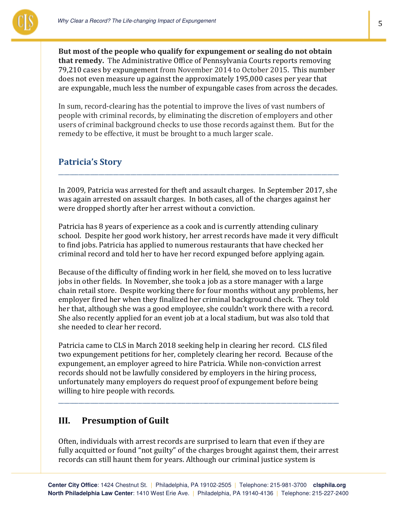

But most of the people who qualify for expungement or sealing do not obtain that remedy. The Administrative Office of Pennsylvania Courts reports removing 79,210 cases by expungement from November 2014 to October 2015. This number does not even measure up against the approximately 195,000 cases per year that are expungable, much less the number of expungable cases from across the decades.

In sum, record-clearing has the potential to improve the lives of vast numbers of people with criminal records, by eliminating the discretion of employers and other users of criminal background checks to use those records against them. But for the remedy to be effective, it must be brought to a much larger scale.

#### Patricia's Story

In 2009, Patricia was arrested for theft and assault charges. In September 2017, she was again arrested on assault charges. In both cases, all of the charges against her were dropped shortly after her arrest without a conviction.

\_\_\_\_\_\_\_\_\_\_\_\_\_\_\_\_\_\_\_\_\_\_\_\_\_\_\_\_\_\_\_\_\_\_\_\_\_\_\_\_\_\_\_\_\_\_\_\_\_\_\_\_\_\_\_\_\_\_\_\_\_\_\_\_\_\_\_\_\_\_\_\_\_\_\_\_\_\_\_\_\_\_\_\_\_\_\_\_\_\_\_\_\_\_\_\_\_

Patricia has 8 years of experience as a cook and is currently attending culinary school. Despite her good work history, her arrest records have made it very difficult to find jobs. Patricia has applied to numerous restaurants that have checked her criminal record and told her to have her record expunged before applying again.

Because of the difficulty of finding work in her field, she moved on to less lucrative jobs in other fields. In November, she took a job as a store manager with a large chain retail store. Despite working there for four months without any problems, her employer fired her when they finalized her criminal background check. They told her that, although she was a good employee, she couldn't work there with a record. She also recently applied for an event job at a local stadium, but was also told that she needed to clear her record.

Patricia came to CLS in March 2018 seeking help in clearing her record. CLS filed two expungement petitions for her, completely clearing her record. Because of the expungement, an employer agreed to hire Patricia. While non-conviction arrest records should not be lawfully considered by employers in the hiring process, unfortunately many employers do request proof of expungement before being willing to hire people with records.

\_\_\_\_\_\_\_\_\_\_\_\_\_\_\_\_\_\_\_\_\_\_\_\_\_\_\_\_\_\_\_\_\_\_\_\_\_\_\_\_\_\_\_\_\_\_\_\_\_\_\_\_\_\_\_\_\_\_\_\_\_\_\_\_\_\_\_\_\_\_\_\_\_\_\_\_\_\_\_\_\_\_\_\_\_\_\_\_\_\_\_\_\_\_\_\_\_

#### III. Presumption of Guilt

Often, individuals with arrest records are surprised to learn that even if they are fully acquitted or found "not guilty" of the charges brought against them, their arrest records can still haunt them for years. Although our criminal justice system is

5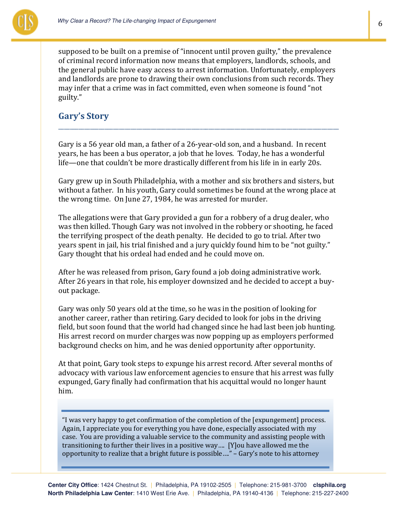

supposed to be built on a premise of "innocent until proven guilty," the prevalence of criminal record information now means that employers, landlords, schools, and the general public have easy access to arrest information. Unfortunately, employers and landlords are prone to drawing their own conclusions from such records. They may infer that a crime was in fact committed, even when someone is found "not guilty."

#### Gary's Story

Gary is a 56 year old man, a father of a 26-year-old son, and a husband. In recent years, he has been a bus operator, a job that he loves. Today, he has a wonderful life—one that couldn't be more drastically different from his life in in early 20s.

\_\_\_\_\_\_\_\_\_\_\_\_\_\_\_\_\_\_\_\_\_\_\_\_\_\_\_\_\_\_\_\_\_\_\_\_\_\_\_\_\_\_\_\_\_\_\_\_\_\_\_\_\_\_\_\_\_\_\_\_\_\_\_\_\_\_\_\_\_\_\_\_\_\_\_\_\_\_\_\_\_\_\_\_\_\_\_\_\_\_\_\_\_\_\_\_\_

Gary grew up in South Philadelphia, with a mother and six brothers and sisters, but without a father. In his youth, Gary could sometimes be found at the wrong place at the wrong time. On June 27, 1984, he was arrested for murder.

The allegations were that Gary provided a gun for a robbery of a drug dealer, who was then killed. Though Gary was not involved in the robbery or shooting, he faced the terrifying prospect of the death penalty. He decided to go to trial. After two years spent in jail, his trial finished and a jury quickly found him to be "not guilty." Gary thought that his ordeal had ended and he could move on.

After he was released from prison, Gary found a job doing administrative work. After 26 years in that role, his employer downsized and he decided to accept a buyout package.

Gary was only 50 years old at the time, so he was in the position of looking for another career, rather than retiring. Gary decided to look for jobs in the driving field, but soon found that the world had changed since he had last been job hunting. His arrest record on murder charges was now popping up as employers performed background checks on him, and he was denied opportunity after opportunity.

At that point, Gary took steps to expunge his arrest record. After several months of advocacy with various law enforcement agencies to ensure that his arrest was fully expunged, Gary finally had confirmation that his acquittal would no longer haunt him.

"I was very happy to get confirmation of the completion of the [expungement] process. Again, I appreciate you for everything you have done, especially associated with my case. You are providing a valuable service to the community and assisting people with transitioning to further their lives in a positive way…. [Y]ou have allowed me the opportunity to realize that a bright future is possible…." – Gary's note to his attorney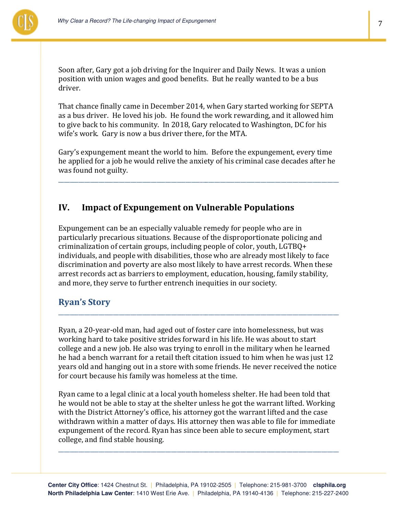

Soon after, Gary got a job driving for the Inquirer and Daily News. It was a union position with union wages and good benefits. But he really wanted to be a bus driver.

That chance finally came in December 2014, when Gary started working for SEPTA as a bus driver. He loved his job. He found the work rewarding, and it allowed him to give back to his community. In 2018, Gary relocated to Washington, DC for his wife's work. Gary is now a bus driver there, for the MTA.

Gary's expungement meant the world to him. Before the expungement, every time he applied for a job he would relive the anxiety of his criminal case decades after he was found not guilty.

\_\_\_\_\_\_\_\_\_\_\_\_\_\_\_\_\_\_\_\_\_\_\_\_\_\_\_\_\_\_\_\_\_\_\_\_\_\_\_\_\_\_\_\_\_\_\_\_\_\_\_\_\_\_\_\_\_\_\_\_\_\_\_\_\_\_\_\_\_\_\_\_\_\_\_\_\_\_\_\_\_\_\_\_\_\_\_\_\_\_\_\_\_\_\_\_\_

#### IV. Impact of Expungement on Vulnerable Populations

Expungement can be an especially valuable remedy for people who are in particularly precarious situations. Because of the disproportionate policing and criminalization of certain groups, including people of color, youth, LGTBQ+ individuals, and people with disabilities, those who are already most likely to face discrimination and poverty are also most likely to have arrest records. When these arrest records act as barriers to employment, education, housing, family stability, and more, they serve to further entrench inequities in our society.

#### Ryan's Story

Ryan, a 20-year-old man, had aged out of foster care into homelessness, but was working hard to take positive strides forward in his life. He was about to start college and a new job. He also was trying to enroll in the military when he learned he had a bench warrant for a retail theft citation issued to him when he was just 12 years old and hanging out in a store with some friends. He never received the notice for court because his family was homeless at the time.

\_\_\_\_\_\_\_\_\_\_\_\_\_\_\_\_\_\_\_\_\_\_\_\_\_\_\_\_\_\_\_\_\_\_\_\_\_\_\_\_\_\_\_\_\_\_\_\_\_\_\_\_\_\_\_\_\_\_\_\_\_\_\_\_\_\_\_\_\_\_\_\_\_\_\_\_\_\_\_\_\_\_\_\_\_\_\_\_\_\_\_\_\_\_\_\_\_

Ryan came to a legal clinic at a local youth homeless shelter. He had been told that he would not be able to stay at the shelter unless he got the warrant lifted. Working with the District Attorney's office, his attorney got the warrant lifted and the case withdrawn within a matter of days. His attorney then was able to file for immediate expungement of the record. Ryan has since been able to secure employment, start college, and find stable housing.

\_\_\_\_\_\_\_\_\_\_\_\_\_\_\_\_\_\_\_\_\_\_\_\_\_\_\_\_\_\_\_\_\_\_\_\_\_\_\_\_\_\_\_\_\_\_\_\_\_\_\_\_\_\_\_\_\_\_\_\_\_\_\_\_\_\_\_\_\_\_\_\_\_\_\_\_\_\_\_\_\_\_\_\_\_\_\_\_\_\_\_\_\_\_\_\_\_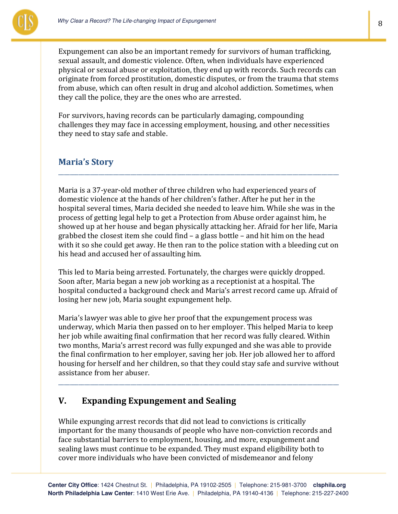

Expungement can also be an important remedy for survivors of human trafficking, sexual assault, and domestic violence. Often, when individuals have experienced physical or sexual abuse or exploitation, they end up with records. Such records can originate from forced prostitution, domestic disputes, or from the trauma that stems from abuse, which can often result in drug and alcohol addiction. Sometimes, when they call the police, they are the ones who are arrested.

For survivors, having records can be particularly damaging, compounding challenges they may face in accessing employment, housing, and other necessities they need to stay safe and stable.

#### Maria's Story

Maria is a 37-year-old mother of three children who had experienced years of domestic violence at the hands of her children's father. After he put her in the hospital several times, Maria decided she needed to leave him. While she was in the process of getting legal help to get a Protection from Abuse order against him, he showed up at her house and began physically attacking her. Afraid for her life, Maria grabbed the closest item she could find – a glass bottle – and hit him on the head with it so she could get away. He then ran to the police station with a bleeding cut on his head and accused her of assaulting him.

\_\_\_\_\_\_\_\_\_\_\_\_\_\_\_\_\_\_\_\_\_\_\_\_\_\_\_\_\_\_\_\_\_\_\_\_\_\_\_\_\_\_\_\_\_\_\_\_\_\_\_\_\_\_\_\_\_\_\_\_\_\_\_\_\_\_\_\_\_\_\_\_\_\_\_\_\_\_\_\_\_\_\_\_\_\_\_\_\_\_\_\_\_\_\_\_\_

This led to Maria being arrested. Fortunately, the charges were quickly dropped. Soon after, Maria began a new job working as a receptionist at a hospital. The hospital conducted a background check and Maria's arrest record came up. Afraid of losing her new job, Maria sought expungement help.

Maria's lawyer was able to give her proof that the expungement process was underway, which Maria then passed on to her employer. This helped Maria to keep her job while awaiting final confirmation that her record was fully cleared. Within two months, Maria's arrest record was fully expunged and she was able to provide the final confirmation to her employer, saving her job. Her job allowed her to afford housing for herself and her children, so that they could stay safe and survive without assistance from her abuser.

\_\_\_\_\_\_\_\_\_\_\_\_\_\_\_\_\_\_\_\_\_\_\_\_\_\_\_\_\_\_\_\_\_\_\_\_\_\_\_\_\_\_\_\_\_\_\_\_\_\_\_\_\_\_\_\_\_\_\_\_\_\_\_\_\_\_\_\_\_\_\_\_\_\_\_\_\_\_\_\_\_\_\_\_\_\_\_\_\_\_\_\_\_\_\_\_\_

# V. Expanding Expungement and Sealing

While expunging arrest records that did not lead to convictions is critically important for the many thousands of people who have non-conviction records and face substantial barriers to employment, housing, and more, expungement and sealing laws must continue to be expanded. They must expand eligibility both to cover more individuals who have been convicted of misdemeanor and felony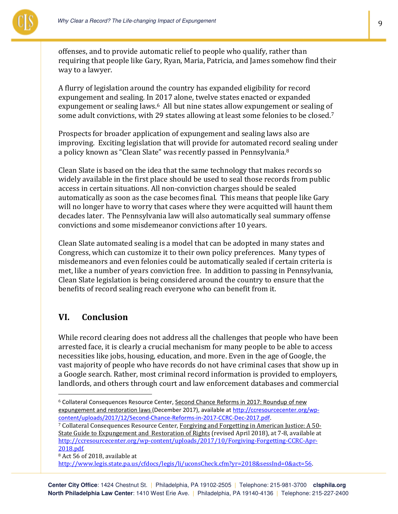

offenses, and to provide automatic relief to people who qualify, rather than requiring that people like Gary, Ryan, Maria, Patricia, and James somehow find their way to a lawyer.

A flurry of legislation around the country has expanded eligibility for record expungement and sealing. In 2017 alone, twelve states enacted or expanded expungement or sealing laws.<sup>6</sup> All but nine states allow expungement or sealing of some adult convictions, with 29 states allowing at least some felonies to be closed.<sup>7</sup>

Prospects for broader application of expungement and sealing laws also are improving. Exciting legislation that will provide for automated record sealing under a policy known as "Clean Slate" was recently passed in Pennsylvania.<sup>8</sup>

Clean Slate is based on the idea that the same technology that makes records so widely available in the first place should be used to seal those records from public access in certain situations. All non-conviction charges should be sealed automatically as soon as the case becomes final. This means that people like Gary will no longer have to worry that cases where they were acquitted will haunt them decades later. The Pennsylvania law will also automatically seal summary offense convictions and some misdemeanor convictions after 10 years.

Clean Slate automated sealing is a model that can be adopted in many states and Congress, which can customize it to their own policy preferences. Many types of misdemeanors and even felonies could be automatically sealed if certain criteria is met, like a number of years conviction free. In addition to passing in Pennsylvania, Clean Slate legislation is being considered around the country to ensure that the benefits of record sealing reach everyone who can benefit from it.

#### VI. Conclusion

 $\overline{a}$ 

While record clearing does not address all the challenges that people who have been arrested face, it is clearly a crucial mechanism for many people to be able to access necessities like jobs, housing, education, and more. Even in the age of Google, the vast majority of people who have records do not have criminal cases that show up in a Google search. Rather, most criminal record information is provided to employers, landlords, and others through court and law enforcement databases and commercial

<sup>8</sup> Act 56 of 2018, available at

<sup>&</sup>lt;sup>6</sup> Collateral Consequences Resource Center, Second Chance Reforms in 2017: Roundup of new expungement and restoration laws (December 2017), available at http://ccresourcecenter.org/wpcontent/uploads/2017/12/Second-Chance-Reforms-in-2017-CCRC-Dec-2017.pdf.

<sup>7</sup> Collateral Consequences Resource Center, Forgiving and Forgetting in American Justice: A 50- State Guide to Expungement and Restoration of Rights (revised April 2018), at 7-8, available at http://ccresourcecenter.org/wp-content/uploads/2017/10/Forgiving-Forgetting-CCRC-Apr-2018.pdf.

http://www.legis.state.pa.us/cfdocs/legis/li/uconsCheck.cfm?yr=2018&sessInd=0&act=56.